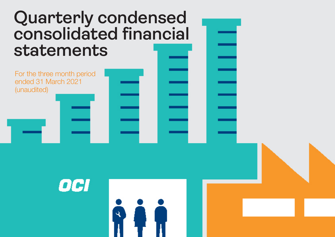# **Quarterly condensed consolidated financial statements**

For the three month period ended 31 March 2021 (unaudited)

OCI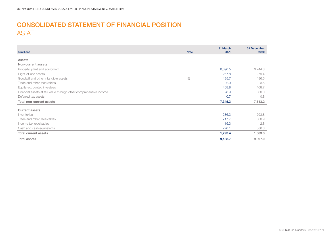### CONSOLIDATED STATEMENT OF FINANCIAL POSITION AS AT

| \$ millions                                                       | <b>Note</b> | 31 March<br>2021 | 31 December<br>2020 |
|-------------------------------------------------------------------|-------------|------------------|---------------------|
|                                                                   |             |                  |                     |
| <b>Assets</b>                                                     |             |                  |                     |
| Non-current assets                                                |             |                  |                     |
| Property, plant and equipment                                     |             | 6,090.5          | 6,244.3             |
| Right-of-use assets                                               |             | 267.8            | 279.4               |
| Goodwill and other intangible assets                              | (8)         | 485.7            | 486.5               |
| Trade and other receivables                                       |             | 2.9              | 3.5                 |
| Equity-accounted investees                                        |             | 468.8            | 468.7               |
| Financial assets at fair value through other comprehensive income |             | 28.9             | 30.0                |
| Deferred tax assets                                               |             | 0.7              | 0.8                 |
| <b>Total non-current assets</b>                                   |             | 7,345.3          | 7,513.2             |
| <b>Current assets</b>                                             |             |                  |                     |
| Inventories                                                       |             | 286.3            | 293.8               |
| Trade and other receivables                                       |             | 717.7            | 600.9               |
| Income tax receivables                                            |             | 19.3             | 2.8                 |
| Cash and cash equivalents                                         |             | 770.1            | 686.3               |
| <b>Total current assets</b>                                       |             | 1,793.4          | 1,583.8             |
| <b>Total assets</b>                                               |             | 9,138.7          | 9,097.0             |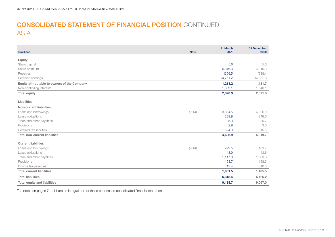### CONSOLIDATED STATEMENT OF FINANCIAL POSITION CONTINUED AS AT

| \$ millions                                  | <b>Note</b> | 31 March<br>2021 | 31 December<br>2020 |
|----------------------------------------------|-------------|------------------|---------------------|
| <b>Equity</b>                                |             |                  |                     |
| Share capital                                |             | 5.6              | 5.6                 |
| Share premium                                |             | 6,316.3          | 6,316.3             |
| Reserves                                     |             | (359.5)          | (338.4)             |
| Retained earnings                            |             | (4, 751.2)       | (4,851.8)           |
| Equity attributable to owners of the Company |             | 1,211.2          | 1,131.7             |
| Non-controlling interests                    |             | 1,609.1          | 1,540.1             |
| <b>Total equity</b>                          |             | 2,820.3          | 2,671.8             |
| Liabilities                                  |             |                  |                     |
| <b>Non-current liabilities</b>               |             |                  |                     |
| Loans and borrowings                         | (9, 14)     | 3,894.5          | 4,226.9             |
| Lease obligations                            |             | 239.9            | 248.6               |
| Trade and other payables                     |             | 25.3             | 25.7                |
| Provisions                                   |             | 2.9              | 3.0                 |
| Deferred tax liabilities                     |             | 524.3            | 515.5               |
| <b>Total non-current liabilities</b>         |             | 4,686.9          | 5,019.7             |
| <b>Current liabilities</b>                   |             |                  |                     |
| Loans and borrowings                         | (9, 14)     | 299.5            | 189.7               |
| Lease obligations                            |             | 43.9             | 43.6                |
| Trade and other payables                     |             | 1,117.0          | 1,003.6             |
| Provisions                                   |             | 158.7            | 158.3               |
| Income tax payables                          |             | 12.4             | 10.3                |
| <b>Total current liabilities</b>             |             | 1,631.5          | 1,405.5             |
| <b>Total liabilities</b>                     |             | 6,318.4          | 6,425.2             |
| <b>Total equity and liabilities</b>          |             | 9,138.7          | 9,097.0             |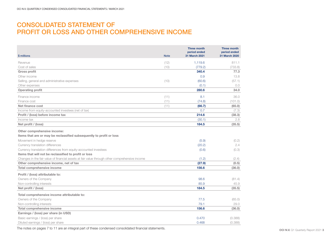### CONSOLIDATED STATEMENT OF PROFIT OR LOSS AND OTHER COMPREHENSIVE INCOME

| \$ millions                                                                                         | <b>Note</b> | <b>Three month</b><br>period ended<br>31 March 2021 | <b>Three month</b><br>period ended<br>31 March 2020 |
|-----------------------------------------------------------------------------------------------------|-------------|-----------------------------------------------------|-----------------------------------------------------|
| Revenue                                                                                             | (12)        | 1,119.6                                             | 811.1                                               |
| Cost of sales                                                                                       | (10)        | (779.2)                                             | (733.8)                                             |
| <b>Gross profit</b>                                                                                 |             | 340.4                                               | 77.3                                                |
| Other income                                                                                        |             | 0.9                                                 | 13.8                                                |
| Selling, general and administrative expenses                                                        | (10)        | (60.6)                                              | (57.1)                                              |
| Other expenses                                                                                      |             | (0.1)                                               | 0.0                                                 |
| <b>Operating profit</b>                                                                             |             | 280.6                                               | 34.0                                                |
| Finance income                                                                                      | (11)        | 8.1                                                 | 36.0                                                |
| Finance cost                                                                                        | (11)        | (74.8)                                              | (101.0)                                             |
| Net finance cost                                                                                    | (11)        | (66.7)                                              | (65.0)                                              |
| Income from equity-accounted investees (net of tax)                                                 |             | 0.7                                                 | (7.3)                                               |
| Profit / (loss) before income tax                                                                   |             | 214.6                                               | (38.3)                                              |
| Income tax                                                                                          |             | (30.1)                                              | 2.8                                                 |
| Net profit / (loss)                                                                                 |             | 184.5                                               | (35.5)                                              |
| Other comprehensive income:<br>Items that are or may be reclassified subsequently to profit or loss |             |                                                     |                                                     |
| Movement in hedge reserve                                                                           |             | (5.9)                                               | (0.2)                                               |
| Currency translation differences                                                                    |             | (20.2)                                              | 2.4                                                 |
| Currency translation differences from equity-accounted investees                                    |             | (0.6)                                               | (0.3)                                               |
| Items that will not be reclassified to profit or loss                                               |             |                                                     |                                                     |
| Changes in the fair value of financial assets at fair value through other comprehensive income      |             | (1.2)                                               | (2.4)                                               |
| Other comprehensive income, net of tax                                                              |             | (27.9)                                              | (0.5)                                               |
| <b>Total comprehensive income</b>                                                                   |             | 156.6                                               | (36.0)                                              |
| Profit / (loss) attributable to:                                                                    |             |                                                     |                                                     |
| Owners of the Company                                                                               |             | 98.6                                                | (81.4)                                              |
| Non-controlling interests                                                                           |             | 85.9                                                | 45.9                                                |
| Net profit / (loss)                                                                                 |             | 184.5                                               | (35.5)                                              |
| Total comprehensive income attributable to:                                                         |             |                                                     |                                                     |
| Owners of the Company                                                                               |             | 77.5                                                | (65.0)                                              |
| Non-controlling interests                                                                           |             | 79.1                                                | 29.0                                                |
| <b>Total comprehensive income</b>                                                                   |             | 156.6                                               | (36.0)                                              |
| Earnings / (loss) per share (in USD)                                                                |             |                                                     |                                                     |
| Basic earnings / (loss) per share                                                                   |             | 0.470                                               | (0.388)                                             |
| Diluted earnings / (loss) per share                                                                 |             | 0.468                                               | (0.388)                                             |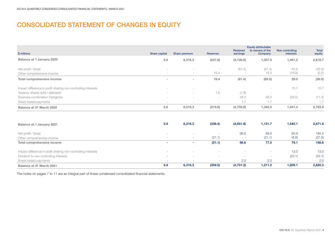### CONSOLIDATED STATEMENT OF CHANGES IN EQUITY

|                                                               |                                 |                          |                 | <b>Retained</b> | <b>Equity attributable</b><br>to owners of the | Non-controlling          | <b>Total</b>                    |
|---------------------------------------------------------------|---------------------------------|--------------------------|-----------------|-----------------|------------------------------------------------|--------------------------|---------------------------------|
| \$ millions                                                   | Share capital                   | Share premium            | <b>Reserves</b> | earnings        | Company                                        | interests                | equity                          |
| Balance at 1 January 2020                                     | 5.6                             | 6,316.3                  | (237.8)         | (4,726.6)       | 1,357.5                                        | 1,461.2                  | 2,818.7                         |
| Net profit / (loss)                                           | $\sim$                          | $\sim$                   |                 | (81.4)          | (81.4)                                         | 45.9                     | (35.5)                          |
| Other comprehensive income                                    | $\sim$                          | $\sim$                   | 16.4            |                 | 16.4                                           | (16.9)                   | (0.5)                           |
| Total comprehensive income                                    | $\sim$                          | $\overline{\phantom{a}}$ | 16.4            | (81.4)          | (65.0)                                         | 29.0                     | (36.0)                          |
| Impact difference in profit sharing non-controlling interests | $\sim$                          |                          |                 |                 | $\sim$                                         | 10.7                     | 10.7                            |
| Treasury shares sold / delivered                              | -                               | $\sim$                   | 1.8             | (1.8)           | $\sim$                                         | -                        | $\hspace{0.1mm}-\hspace{0.1mm}$ |
| <b>Business combination Fertiglobe</b>                        | $\sim$                          | $\sim$                   | -               | 48.3            | 48.3                                           | (59.5)                   | (11.2)                          |
| Share-based payments                                          | $\hspace{0.1mm}-\hspace{0.1mm}$ | $\sim$                   |                 |                 | 1.7                                            | $\overline{\phantom{a}}$ | 1.7                             |
| Balance at 31 March 2020                                      | 5.6                             | 6,316.3                  | (219.6)         | (4,759.8)       | 1,342.5                                        | 1,441.4                  | 2,783.9                         |

| Balance at 1 January 2021                                     | 5.6    | 6.316.3 | (338.4)                  | (4,851.8) | 1,131.7 | 1,540.1 | 2,671.8 |
|---------------------------------------------------------------|--------|---------|--------------------------|-----------|---------|---------|---------|
| Net profit / (loss)                                           | ٠      |         |                          | 98.6      | 98.6    | 85.9    | 184.5   |
| Other comprehensive income                                    | $\sim$ | $\sim$  | (21.1)                   | ۰         | (21.1)  | (6.8)   | (27.9)  |
| Total comprehensive income                                    | ۰      |         | (21.1)                   | 98.6      | 77.5    | 79.1    | 156.6   |
| Impact difference in profit sharing non-controlling interests | $\sim$ |         | . .                      |           |         | 13.0    | 13.0    |
| Dividend to non-controlling interests                         | $\sim$ |         | $\overline{\phantom{a}}$ | ۰         |         | (23.1)  | (23.1)  |
| Share-based payments                                          | $\sim$ |         | $\overline{\phantom{a}}$ | 2.0       | 2.0     |         | 2.0     |
| Balance at 31 March 2021                                      | 5.6    | 6,316.3 | (359.5)                  | (4,751.2) | 1,211.2 | 1,609.1 | 2,820.3 |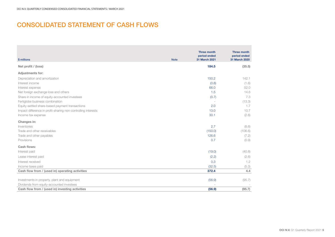### CONSOLIDATED STATEMENT OF CASH FLOWS

|                                                               |             | <b>Three month</b>            | <b>Three month</b>            |
|---------------------------------------------------------------|-------------|-------------------------------|-------------------------------|
| \$ millions                                                   | <b>Note</b> | period ended<br>31 March 2021 | period ended<br>31 March 2020 |
| Net profit / (loss)                                           |             | 184.5                         | (35.5)                        |
| <b>Adjustments for:</b>                                       |             |                               |                               |
| Depreciation and amortization                                 |             | 150.2                         | 142.1                         |
| Interest income                                               |             | (0.8)                         | (1.6)                         |
| Interest expense                                              |             | 66.0                          | 52.0                          |
| Net foreign exchange loss and others                          |             | 1.5                           | 14.6                          |
| Share in income of equity-accounted investees                 |             | (0.7)                         | 7.3                           |
| Fertiglobe business combination                               |             |                               | (13.3)                        |
| Equity-settled share-based payment transactions               |             | 2.0                           | 1.7                           |
| Impact difference in profit-sharing non-controlling interests |             | 13.0                          | 10.7                          |
| Income tax expense                                            |             | 30.1                          | (2.8)                         |
| Changes in:                                                   |             |                               |                               |
| Inventories                                                   |             | 2.7                           | (8.6)                         |
| Trade and other receivables                                   |             | (150.0)                       | (106.6)                       |
| Trade and other payables                                      |             | 126.6                         | (7.2)                         |
| Provisions                                                    |             | 0.7                           | (0.9)                         |
| Cash flows:                                                   |             |                               |                               |
| Interest paid                                                 |             | (19.0)                        | (40.8)                        |
| Lease interest paid                                           |             | (2.2)                         | (2.6)                         |
| Interest received                                             |             | 0.3                           | 1.2                           |
| Income taxes paid                                             |             | (32.5)                        | (5.3)                         |
| Cash flow from / (used in) operating activities               |             | 372.4                         | 4.4                           |
|                                                               |             |                               |                               |
| Investments in property, plant and equipment                  |             | (56.9)                        | (95.7)                        |
| Dividends from equity-accounted investees                     |             |                               |                               |
| Cash flow from / (used in) investing activities               |             | (56.9)                        | (95.7)                        |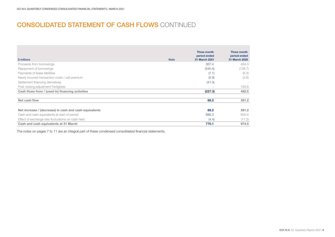### CONSOLIDATED STATEMENT OF CASH FLOWS CONTINUED

| \$ millions                                            | <b>Note</b> | <b>Three month</b><br>period ended<br>31 March 2021 | Three month<br>period ended<br>31 March 2020 |
|--------------------------------------------------------|-------------|-----------------------------------------------------|----------------------------------------------|
| Proceeds from borrowings                               |             | 367.4                                               | 464.3                                        |
| Repayment of borrowings                                |             | (540.4)                                             | (138.7)                                      |
| Payments of lease liabilities                          |             | (7.1)                                               | (6.3)                                        |
| Newly incurred transaction costs / call premium        |             | (5.9)                                               | (3.6)                                        |
| Settlement financing derivatives                       |             | (41.3)                                              | -                                            |
| Post closing adjustment Fertiglobe                     |             |                                                     | 166.8                                        |
| Cash flows from / (used in) financing activities       |             | (227.3)                                             | 482.5                                        |
|                                                        |             |                                                     |                                              |
| Net cash flow                                          |             | 88.2                                                | 391.2                                        |
|                                                        |             |                                                     |                                              |
| Net increase / (decrease) in cash and cash equivalents |             | 88.2                                                | 391.2                                        |
| Cash and cash equivalents at start of period           |             | 686.3                                               | 600.5                                        |
| Effect of exchange rate fluctuations on cash held      |             | (4.4)                                               | (17.2)                                       |
| Cash and cash equivalents at 31 March                  |             | 770.1                                               | 974.5                                        |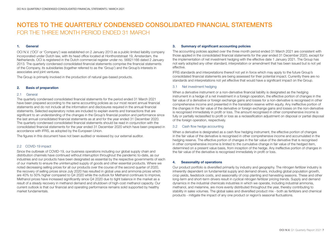### 1. General

OCI N.V. ('OCI' or 'Company') was established on 2 January 2013 as a public limited liability company incorporated under Dutch law, with its head office located at Honthorststraat 19, Amsterdam, the Netherlands. OCI is registered in the Dutch commercial register under no. 56821166 dated 2 January 2013. The quarterly condensed consolidated financial statements comprise the financial statements of the Company, its subsidiaries (together referred to as the 'Group') and the Group's interests in associates and joint ventures.

The Group is primarily involved in the production of natural gas-based products.

### 2. Basis of preparation

#### 2.1 General

The quarterly condensed consolidated financial statements for the period ended 31 March 2021 have been prepared according to the same accounting policies as our most recent annual financial statements and do not include all the information and disclosures required in the annual financial statements. Selected explanatory notes are included to explain events and transactions that are significant to an understanding of the changes in the Group's financial position and performance since the last annual consolidated financial statements as at and for the year ended 31 December 2020. The quarterly condensed consolidated financial statements should be read in conjunction with the consolidated financial statements for the year ended 31 December 2020 which have been prepared in accordance with IFRS, as adopted by the European Union.

The figures in this document have not been audited or reviewed by our external auditor.

### 2.2 COVID-19 impact

Since the outbreak of COVID-19, our business operations including our global supply chain and distribution channels have continued without interruption throughout the pandemic to-date, as our industries and our products have been designated as essential by the respective governments of each of our markets to ensure the uninterrupted supply of goods and other essential products. Where we noted decreasing selling prices for all our products over the course of the second quarter of 2020, the recovery of selling prices since July 2020 has resulted in global urea and ammonia prices which are 40% to 50% higher compared to Q4 2020 while the outlook for Methanol continues to improve, Methanol prices have increased significantly since Q4 2020 due to tight balance in the market as a result of a steady recovery in methanol demand and shutdown of high-cost methanol capacity. Our current outlook is that our financial and operating performance remains solid supported by healthy market fundamentals.

### 3. Summary of significant accounting policies

The accounting policies applied over the three month period ended 31 March 2021 are consistent with those applied in the consolidated financial statements for the year ended 31 December 2020, except for the implementation of net investment hedging with the effective date 1 January 2021. The Group has not early adopted any other standard, interpretation or amendment that has been issued but is not yet effective.

IFRS standards and interpretations thereof not yet in force which may apply to the future Group's consolidated financial statements are being assessed for their potential impact. Currently there are no standards and interpretations not yet effective that would have a significant impact on the Group.

### 3.1 Net investment hedging

When a derivative instrument or a non-derivative financial liability is designated as the hedging instrument in a hedge of a net investment in a foreign operation, the effective portion of changes in the fair value of a derivative or foreign exchange gains and losses for a non-derivative is recognised in other comprehensive income and presented in the translation reserve within equity. Any ineffective portion of the changes in the fair value of the derivative or foreign exchange gains and losses on the non-derivative is recognised immediately in profit or loss. The amount recognised in other comprehensive income is fully or partially reclassified to profit or loss as a reclassification adjustment on disposal or partial disposal of the foreign operation, respectively.

### 3.2 Cash flow hedge accounting

When a derivative is designated as a cash flow hedging instrument, the effective portion of changes in the fair value of the derivative is recognised in other comprehensive income and accumulated in the hedging reserve. The effective portion of changes in the fair value of the derivative that is recognised in other comprehensive income is limited to the cumulative change in fair value of the hedged item, determined on a present value basis, from inception of the hedge. Any ineffective portion of changes in the fair value of the derivative is recognised immediately in profit or loss.

### 4. Seasonality of operations

Our product portfolio is diversified primarily by industry and geography. The nitrogen fertilizer industry is inherently dependent on fundamental supply and demand drivers, including global population growth, crop yields, feedstock costs, and seasonality of crop planting and harvesting seasons. These and other long-term and short-term drivers result in cyclical nitrogen fertilizer pricing trends. Supply and demand dynamics in the industrial chemicals industries in which we operate, including industrial ammonia, methanol, and melamine, are more evenly distributed throughout the year, thereby contributing to stability in sales volumes. The global sales and diversified product mix - both as fertilizers and chemical products - mitigate the impact of any one product or region's seasonal fluctuations.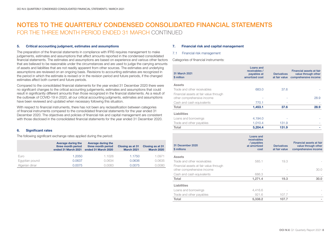#### 5. Critical accounting judgment, estimates and assumptions

The preparation of the financial statements in compliance with IFRS requires management to make judgements, estimates and assumptions that affect amounts reported in the condensed consolidated financial statements. The estimates and assumptions are based on experience and various other factors that are believed to be reasonable under the circumstances and are used to judge the carrying amounts of assets and liabilities that are not readily apparent from other sources. The estimates and underlying assumptions are reviewed on an ongoing basis. Revisions to accounting estimates are recognized in the period in which the estimate is revised or in the revision period and future periods, if the changed estimates affect both current and future periods.

Compared to the consolidated financial statements for the year ended 31 December 2020 there were no significant changes to the critical accounting judgements, estimates and assumptions that could result in significantly different amounts than those recognized in the financial statements. As a result of the outbreak of COVID-19 in 2020, all our critical accounting judgments, estimates and assumptions have been reviewed and updated when necessary following this situation.

With respect to financial instruments, there has not been any reclassification between categories of financial instruments compared to the consolidated financial statements for the year ended 31 December 2020. The objectives and policies of financial risk and capital management are consistent with those disclosed in the consolidated financial statements for the year ended 31 December 2020.

### 6. Significant rates

The following significant exchange rates applied during the period:

|                | Average during the<br>three month period<br>ended 31 March 2021 | Average during the<br>three month period<br>ended 31 March 2020 | Closing as at 31<br><b>March 2021</b> | Closing as at 31<br><b>March 2020</b> |
|----------------|-----------------------------------------------------------------|-----------------------------------------------------------------|---------------------------------------|---------------------------------------|
| Euro           | 1.2050                                                          | 1.1026                                                          | 1.1750                                | 1.0971                                |
| Egyptian pound | 0.0637                                                          | 0.0634                                                          | 0.0636                                | 0.0635                                |
| Algerian dinar | 0.0075                                                          | 0.0083                                                          | 0.0075                                | 0.0080                                |

### 7. Financial risk and capital management

### 7.1 Financial risk management

Categories of financial instruments:

| 31 March 2021<br>\$ million                                          | Loans and<br>receivables /<br>payables at<br>amortized cost           | <b>Derivatives</b><br>at fair value | Financial assets at fair<br>value through other<br>comprehensive income |
|----------------------------------------------------------------------|-----------------------------------------------------------------------|-------------------------------------|-------------------------------------------------------------------------|
| <b>Assets</b>                                                        |                                                                       |                                     |                                                                         |
| Trade and other receivables                                          | 683.0                                                                 | 37.6                                |                                                                         |
| Financial assets at fair value through                               |                                                                       |                                     |                                                                         |
| other comprehensive income                                           |                                                                       |                                     | 28.9                                                                    |
| Cash and cash equivalents                                            | 770.1                                                                 |                                     |                                                                         |
| Total                                                                | 1,453.1                                                               | 37.6                                | 28.9                                                                    |
| Liabilities                                                          |                                                                       |                                     |                                                                         |
| Loans and borrowings                                                 | 4,194.0                                                               |                                     |                                                                         |
| Trade and other payables                                             | 1,010.4                                                               | 131.9                               |                                                                         |
| Total                                                                | 5,204.4                                                               | 131.9                               |                                                                         |
| 31 December 2020<br>\$ millions                                      | <b>Loans and</b><br>receivables<br>/ payables<br>at amortized<br>cost | <b>Derivatives</b><br>at fair value | Financial assets at fair<br>value through other                         |
|                                                                      |                                                                       |                                     | comprehensive income                                                    |
| <b>Assets</b>                                                        |                                                                       |                                     |                                                                         |
| Trade and other receivables                                          | 585.1                                                                 | 19.3                                |                                                                         |
| Financial assets at fair value through<br>other comprehensive income |                                                                       |                                     | 30.0                                                                    |
| Cash and cash equivalents                                            | 686.3                                                                 |                                     |                                                                         |
| Total                                                                | 1,271.4                                                               | 19.3                                | 30.0                                                                    |
| Liabilities                                                          |                                                                       |                                     |                                                                         |
| Loans and borrowings                                                 | 4,416.6                                                               |                                     |                                                                         |

Total 5,338.2 107.7 -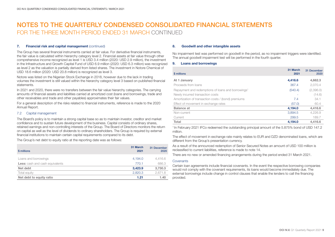### 7. Financial risk and capital management (continued)

The Group has several financial instruments carried at fair value. For derivative financial instruments, the fair value is calculated within hierarchy category level 2. Financial assets at fair value through other comprehensive income recognized as level 1 is USD 3.4 million (2020: USD 2.9 million), the investment in the Infrastructure and Growth Capital Fund of USD 6.9 million (2020: USD 6.3 million) was recognized as level 2 as the valuation is partially derived from listed shares. The investment in Notore Chemical of USD 18.6 million (2020: USD 20.8 million) is recognized as level 3.

Notore was listed on the Nigerian Stock Exchange in 2018, however due to the lack in trading volumes the investment is still valued within the hierarchy category level 3 based on published financial statements.

In 2021 and 2020, there were no transfers between the fair value hierarchy categories. The carrying amounts of financial assets and liabilities carried at amortized cost (loans and borrowings, trade and other receivables and trade and other payables) approximates their fair values.

For a general description of the risks related to financial instruments, reference is made to the 2020 Annual Report.

### 7.2 Capital management

The Board's policy is to maintain a strong capital base so as to maintain investor, creditor and market confidence and to sustain future development of the business. Capital consists of ordinary shares, retained earnings and non-controlling interests of the Group. The Board of Directors monitors the return on capital as well as the level of dividends to ordinary shareholders. The Group is required by external financial institutions to maintain certain capital requirements compared to its debt.

The Group's net debt to equity ratio at the reporting date was as follows:

| \$ millions                            | 31 March<br>2021 | 31 December<br>2020 |
|----------------------------------------|------------------|---------------------|
| Loans and borrowings                   | 4.194.0          | 4,416.6             |
| <b>Less:</b> cash and cash equivalents | 770.1            | 686.3               |
| Net debt                               | 3,423.9          | 3,730.3             |
| Total equity                           | 2,820.3          | 2,671.8             |
| Net debt to equity ratio               | 1.21             | 1.40                |

#### 8. Goodwill and other intangible assets

No impairment test was performed on goodwill in the period, as no impairment triggers were identified. The annual goodwill impairment test will be performed in the fourth quarter.

### 9. Loans and borrowings

| \$ millions                                                    | 31 March<br>2021 | 31 December<br>2020 |
|----------------------------------------------------------------|------------------|---------------------|
| At 1 January                                                   | 4,416.6          | 4,662.3             |
| Proceeds from loans                                            | 367.4            | 2.070.4             |
| Repayment and redemptions of loans and borrowings <sup>1</sup> | (540.4)          | (2,396.0)           |
| Newly incurred transaction costs                               |                  | (14.6)              |
| Amortization of transaction costs / (bond) premiums            | 7.4              | 34.1                |
| Effect of movement in exchange rates                           | (57.0)           | 60.4                |
| <b>Balance</b> at                                              | 4,194.0          | 4,416.6             |
| Non-current                                                    | 3,894.5          | 4,226.9             |
| Current                                                        | 299.5            | 189.7               |
| Total                                                          | 4,194.0          | 4.416.6             |

1 In February 2021 IFCo redeemed the outstanding principal amount of the 5.875% bond of USD 147.2 million.

The effect of movement in exchange rate mainly relates to EUR and DZD denominated loans, which are different from the Group's presentation currency.

As a result of the announced redemption of Senior Secured Notes an amount of USD 100 million is reclassified to current liabilities, reference is made to note 14.

There are no new or amended financing arrangements during the period ended 31 March 2021.

#### **Covenants**

Certain loan agreements include financial covenants. In the event the respective borrowing companies would not comply with the covenant requirements, its loans would become immediately due. The external borrowings include change in control clauses that enable the lenders to call the financing provided.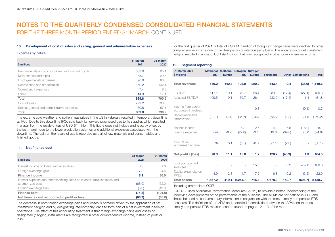### 10. Development of cost of sales and selling, general and administrative expenses

### Expenses by nature

| \$ millions                                      | 31 March<br>2021 | 31 March<br>2020 |
|--------------------------------------------------|------------------|------------------|
| Raw materials and consumables and finished goods | 533.0            | 505.1            |
| Maintenance and repair                           | 35.7             | 29.8             |
| Employee benefit expenses                        | 98.6             | 88.5             |
| Depreciation and amortization                    | 150.2            | 142.1            |
| Consultancy expenses                             | 7.4              | 8.3              |
| Other                                            | 14.9             | 17.1             |
| Total                                            | 839.8            | 790.9            |
| Cost of sales                                    | 779.2            | 733.8            |
| Selling, general and administrative expenses     | 60.6             | 57.1             |
| Total                                            | 839.8            | 790.9            |

The extreme cold weather and spike in gas prices in the US in February resulted in temporary downtime at IFCo. Due to this downtime IFCo sold back its forward purchased gas to its supplier, which resulted in a gain from the resale of gas of USD 61 million. This figure does not include and is partly offset by the lost margin due to the lower production volumes and additional expenses associated with the downtime. The gain on the resale of gas is recorded as part of raw materials and consumables and finished goods.

#### 11. Net finance cost

| \$ millions                                                                                       | 31 March<br>2021 | 31 March<br>2020 |
|---------------------------------------------------------------------------------------------------|------------------|------------------|
| Interest income on loans and receivables                                                          | 0.8              | 1.6              |
| Foreign exchange gain                                                                             | 7.3              | 34.4             |
| <b>Finance income</b>                                                                             | 8.1              | 36.0             |
| Interest expense and other financing costs on financial liabilities measured<br>at amortized cost | (66.0)           | (52.0)           |
| Foreign exchange loss                                                                             | (8.8)            | (49.0)           |
| Finance cost                                                                                      | (74.8)           | (101.0)          |
| Net finance cost recognized in profit or loss                                                     | (66.7)           | (65.0)           |

The decrease in both foreign exchange gains and losses is primarily driven by the application of net investment hedging and by designating intercompany loans to form part of a net investment in foreign operations. The effect of this accounting treatment is that foreign exchange gains and losses on designated (hedging) instruments are recognized in other comprehensive income, instead of profit or loss.

For the first quarter of 2021, a total of USD 41.7 million of foreign exchange gains were credited to other comprehensive income due to the designation of intercompany loans. The application of net investment hedging resulted in a loss of USD 99.4 million that was recognized in other comprehensive income.

### 12. Segment reporting

| 31 March 2021<br>\$ millions               | US <sup>1</sup> | Methanol Methanol Nitrogen Nitrogen<br><b>Europe</b> | <b>US</b>                | <b>Europe</b> | <b>Fertiglobe</b> |        | <b>Other Eliminations</b> | <b>Total</b> |
|--------------------------------------------|-----------------|------------------------------------------------------|--------------------------|---------------|-------------------|--------|---------------------------|--------------|
|                                            |                 |                                                      |                          |               |                   |        |                           |              |
| <b>Total revenues</b>                      | 146.2           | 142.4                                                | 103.9                    | 220.2         | 543.4             | 0.4    | (36.9)                    | 1,119.6      |
|                                            |                 |                                                      |                          |               |                   |        |                           |              |
| EBITDA <sup>2</sup>                        | 117.1           | 19.1                                                 | 79.7                     | 26.4          | 233.0             | (17.4) | (27.1)                    | 430.8        |
| Adjusted EBITDA <sup>2</sup>               | 109.5           | 19.1                                                 | 79.7                     | 26.4          | 233.0             | (17.4) | 1.4                       | 451.8        |
| Income from equity-<br>accounted investees |                 |                                                      |                          | 0.8           |                   |        | (0.1)                     | 0.7          |
| Depreciation and<br>amortization           | (39.1)          | (7.4)                                                | (35.7)                   | (24.6)        | (63.6)            | (1.3)  | 21.5                      | (150.2)      |
| Finance income                             |                 |                                                      | 0.1                      | 2.5           | 4.9               | 16.6   | (16.0)                    | 8.1          |
| Finance expense                            | (7.4)           | (0.7)                                                | (27.8)                   | (3.1)         | (19.0)            | (39.8) | 23.0                      | (74.8)       |
| Income tax<br>(expense) / income           | (0.3)           | 0.1                                                  | (0.5)                    | (0.3)         | (27.1)            | (2.0)  | ÷                         | (30.1)       |
| Net profit / (loss)                        | 70.3            | 11.1                                                 | 15.8                     | 1.7           | 128.2             | (43.9) | 1.3                       | 184.5        |
|                                            |                 |                                                      |                          |               |                   |        |                           |              |
| Equity-accounted<br>investees              |                 |                                                      | $\overline{\phantom{a}}$ | 15.8          |                   | 0.2    | 452.8                     | 468.8        |
| Capital expenditures<br>PP&E               | 4.9             | 2.3                                                  | 4.7                      | 7.2           | 6.8               | 0.2    | (3.2)                     | 22.9         |
| <b>Total assets</b>                        | 1,567.2         | 419.1                                                | 2,214.7                  | 715.4         | 4,678.3           | 140.7  | (596.7)                   | 9,138.7      |

### 1 Including ammonia at OCIB

2 OCI N.V. uses Alternative Performance Measures ('APM') to provide a better understanding of the underlying developments of the performance of the business. The APMs are not defined in IFRS and should be used as supplementary information in conjunction with the most directly comparable IFRS measures. The definition of the APM and a detailed reconciliation between the APM and the most directly comparable IFRS measure can be found on pages 12 - 13 of the report.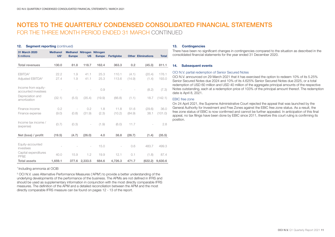### 12. Seament reporting (continued)

| 31 March 2020<br>\$ millions                                   | <b>Methanol</b><br>US <sup>1</sup> | <b>Europe</b>                     | Methanol Nitrogen Nitrogen<br><b>US</b> | <b>Europe</b> | Fertiglobe      |                 | <b>Other Eliminations</b> | <b>Total</b>    |
|----------------------------------------------------------------|------------------------------------|-----------------------------------|-----------------------------------------|---------------|-----------------|-----------------|---------------------------|-----------------|
| <b>Total revenues</b>                                          | 130.0                              | 81.8                              | 118.7                                   | 162.4         | 363.3           | 0.2             | (45.3)                    | 811.1           |
| EBITDA <sup>2</sup><br>Adjusted EBITDA <sup>2</sup>            | 22.2<br>27.4                       | 1.9<br>1.9                        | 41.1<br>41.1                            | 25.3<br>25.3  | 110.1<br>113.6  | (4.1)<br>(14.9) | (20.4)<br>(1.4)           | 176.1<br>193.0  |
| Income from equity-<br>accounted investees<br>Depreciation and |                                    |                                   |                                         | 0.9           |                 |                 | (8.2)                     | (7.3)           |
| amortization<br>Finance income                                 | (32.1)<br>0.2                      | (5.5)<br>$\overline{\phantom{a}}$ | (35.4)<br>0.2                           | (19.9)<br>1.8 | (66.8)<br>11.8  | (1.1)<br>51.6   | 18.7<br>(29.6)            | (142.1)<br>36.0 |
| Finance expense                                                | (9.0)                              | (0.8)                             | (31.9)                                  | (2.3)         | (10.2)          | (84.9)          | 38.1                      | (101.0)         |
| Income tax income /<br>(expense)                               | (0.7)                              | (0.3)                             | $\overline{\phantom{a}}$                | (1.9)         | (6.0)           | 11.7            |                           | 2.8             |
| Net (loss) / profit                                            | (19.5)                             | (4.7)                             | (26.0)                                  | 4.0           | 38.8            | (26.7)          | (1.4)                     | (35.5)          |
| Equity-accounted<br>investees<br>Capital expenditures          |                                    |                                   | $\overline{a}$                          | 15.0          |                 | 0.6             | 483.7                     | 499.3           |
| PP&E<br><b>Total assets</b>                                    | 40.0<br>1.659.1                    | 15.9<br>377.6                     | 1.2<br>2,333.5                          | 19.9<br>684.6 | 12.1<br>4.726.3 | 0.1<br>471.7    | (1.8)<br>(622.2)          | 87.4<br>9,630.6 |

### <sup>1</sup> Including ammonia at OCIB

2 OCI N.V. uses Alternative Performance Measures ('APM') to provide a better understanding of the underlying developments of the performance of the business. The APMs are not defined in IFRS and should be used as supplementary information in conjunction with the most directly comparable IFRS measures. The definition of the APM and a detailed reconciliation between the APM and the most directly comparable IFRS measure can be found on pages 12 - 13 of the report.

### 13. Contingencies

There have been no significant changes in contingencies compared to the situation as described in the consolidated financial statements for the year ended 31 December 2020.

### 14. Subsequent events

### OCI N.V. partial redemption of Senior Secured Notes

OCI N.V. announced on 29 March 2021 that it has exercised the option to redeem 10% of its 5.25% Senior Secured Notes due 2024 and 10% of its 4.625% Senior Secured Notes due 2025, or a total redemption of USD 60 million and USD 40 million of the aggregate principal amounts of the respective Notes outstanding, each at a redemption price of 103% of the principal amount thereof. The redemption date is April 8, 2021.

### EBIC free zone

On 24 April 2021, the Supreme Administrative Court rejected the appeal that was launched by the General Authority for Investment and Free Zones against the EBIC free zone status. As a result, the free zone status of EBIC is now confirmed and cannot be further appealed. In anticipation of this final appeal, no tax filings have been done by EBIC since 2011, therefore this court ruling is confirming its position.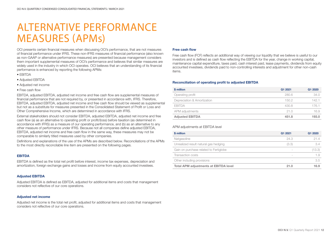## ALTERNATIVE PERFORMANCE MEASURES (APMs)

OCI presents certain financial measures when discussing OCI's performance, that are not measures of financial performance under IFRS. These non-IFRS measures of financial performance (also known as non-GAAP or alternative performance measures) are presented because management considers them important supplemental measures of OCI's performance and believes that similar measures are widely used in the industry in which OCI operates. OCI believes that an understanding of its financial performance is enhanced by reporting the following APMs:

- EBITDA
- Adjusted EBITDA
- Adjusted net income
- Free cash flow

EBITDA, adjusted EBITDA, adjusted net income and free cash flow are supplemental measures of financial performance that are not required by, or presented in accordance with, IFRS. Therefore, EBITDA, adjusted EBITDA, adjusted net income and free cash flow should be viewed as supplemental but not as a substitute for measures presented in the Consolidated Statement of Profit or Loss and Other Comprehensive Income, which are determined in accordance with IFRS.

External stakeholders should not consider EBITDA, adjusted EBITDA, adjusted net income and free cash flow (a) as an alternative to operating profit or profit/(loss) before taxation (as determined in accordance with IFRS) as a measure of our operating performance, and (b) as an alternative to any other measure of performance under IFRS. Because not all companies define adjusted EBITDA, EBITDA, adjusted net income and free cash flow in the same way, these measures may not be comparable to similarly titled measures used by other companies.

Definitions and explanations of the use of the APMs are described below. Reconciliations of the APMs to the most directly reconcilable line item are presented on the following pages.

### EBITDA

EBITDA is defined as the total net profit before interest, income tax expenses, depreciation and amortization, foreign exchange gains and losses and income from equity accounted investees.

### Adjusted EBITDA

Adjusted EBITDA is defined as EBITDA, adjusted for additional items and costs that management considers not reflective of our core operations.

#### Adjusted net income

Adjusted net income is the total net profit, adjusted for additional items and costs that management considers not reflective of our core operations.

#### Free cash flow

Free cash flow (FCF) reflects an additional way of viewing our liquidity that we believe is useful to our investors and is defined as cash flow reflecting the EBITDA for the year, change in working capital, maintenance capital expenditure, taxes paid, cash interest paid, lease payments, dividends from equity accounted investees, dividends paid to non-controlling interests and adjustment for other non-cash items.

### Reconciliation of operating profit to adjusted EBITDA

| \$ million                  | Q1 2021 | Q1 2020 |
|-----------------------------|---------|---------|
| Operating profit            | 280.6   | 34.0    |
| Depreciation & Amortization | 150.2   | 142.1   |
| <b>EBITDA</b>               | 430.8   | 176.1   |
| APM adjustments             | 21.0    | 16.9    |
| <b>Adjusted EBITDA</b>      | 451.8   | 193.0   |

#### APM adjustments at EBITDA level

| \$ million                                   | Q1 2021 | Q1 2020 |
|----------------------------------------------|---------|---------|
| Natgasoline                                  | 24.3    | 21.4    |
| Unrealized result natural gas hedging        | (3.3)   | 3.4     |
| Gain on purchase related to Fertiglobe       |         | (13.3)  |
| Transaction costs                            |         | 1.9     |
| Other including provisions                   |         | 3.5     |
| <b>Total APM adjustments at EBITDA level</b> | 21.0    | 16.9    |